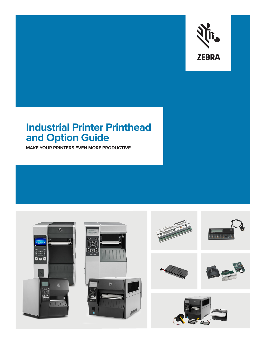

## **Industrial Printer Printhead and Option Guide**

**MAKE YOUR PRINTERS EVEN MORE PRODUCTIVE**













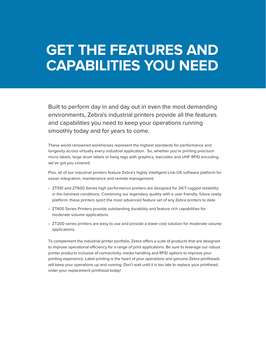## **GET THE FEATURES AND CAPABILITIES YOU NEED**

Built to perform day in and day out in even the most demanding environments, Zebra's industrial printers provide all the features and capabilities you need to keep your operations running smoothly today and for years to come.

These world-renowned workhorses represent the highest standards for performance and longevity across virtually every industrial application. So, whether you're printing precision micro labels, large drum labels or hang tags with graphics, barcodes and UHF RFID encoding, we've got you covered.

Plus, all of our industrial printers feature Zebra's highly intelligent Link-OS software platform for easier integration, maintenance and remote management.

- ZT510 and ZT600 Series high performance printers are designed for 24/7 rugged reliability in the harshest conditions. Combining our legendary quality with a user friendly, future ready platform, these printers sport the most advanced feature set of any Zebra printers to date.
- ZT400 Series Printers provide outstanding durability and feature rich capabilities for moderate-volume applications.
- ZT200 series printers are easy to use and provide a lower cost solution for moderate volume applications.

To complement the industrial printer portfolio, Zebra offers a suite of products that are designed to improve operational efficiency for a range of print applications. Be sure to leverage our robust printer products inclusive of connectivity, media handling and RFID options to improve your printing experience. Label printing is the heart of your operations and genuine Zebra printheads will keep your operations up and running. Don't wait until it is too late to replace your printhead, order your replacement printhead today!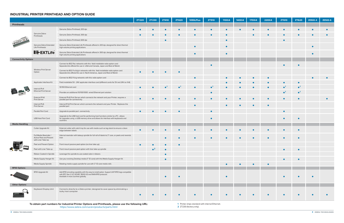## **INDUSTRIAL PRINTER PRINTHEAD AND OPTION GUIDE**

|                             |                                                                               |                                                                                                                                                                                                         | <b>ZT220</b> | <b>ZT230</b> | <b>ZT410</b> | <b>ZT420</b> | 105SLPlus | <b>ZT510</b> | 110Xi4 | 140Xi4 | 170Xi4    | 220Xi4    | <b>ZT610</b>           | <b>ZT620</b> | ZE500-4 | ZE500-6 |
|-----------------------------|-------------------------------------------------------------------------------|---------------------------------------------------------------------------------------------------------------------------------------------------------------------------------------------------------|--------------|--------------|--------------|--------------|-----------|--------------|--------|--------|-----------|-----------|------------------------|--------------|---------|---------|
| <b>Printheads</b>           |                                                                               |                                                                                                                                                                                                         |              |              |              |              |           |              |        |        |           |           |                        |              |         |         |
|                             | Genuine Zebra<br>Printheads                                                   | Genuine Zebra Printhead; 203 dpi                                                                                                                                                                        | $\bullet$    |              |              |              |           |              |        |        |           |           |                        |              |         |         |
|                             |                                                                               | Genuine Zebra Printhead; 300 dpi                                                                                                                                                                        |              |              |              |              |           | $\bullet$    |        |        | $\bullet$ |           |                        |              |         |         |
|                             |                                                                               | Genuine Zebra Printhead; 600 dpi                                                                                                                                                                        |              |              |              |              |           |              |        |        |           |           |                        |              |         |         |
|                             | Genuine Zebra Extended<br>Life Printheads                                     | Genuine Zebra Extended Life Printheads offered in 203 dpi; designed for direct thermal<br>high-volume printing applications                                                                             |              |              |              |              |           |              |        |        |           |           |                        |              |         |         |
|                             | <b>IIH-EXTLife</b>                                                            | Genuine Zebra Extended Life Printheads offered in 300 dpi; designed for direct thermal<br>high-volume printing applications                                                                             |              |              |              |              |           |              |        |        |           |           |                        |              |         |         |
| <b>Connectivity Options</b> |                                                                               |                                                                                                                                                                                                         |              |              |              |              |           |              |        |        |           |           |                        |              |         |         |
|                             | Wireless Print Server<br>Option                                               | Connect to 802.11ac networks with this field installable radio option card<br>Separate kits offered for use in: USA and Canada, Japan and Rest of World                                                 |              |              |              |              |           |              |        |        |           |           |                        | <b>C</b>     |         |         |
|                             |                                                                               | Connect to 802.11 a/b/g/n networks with this field installable radio option card<br>Separate kits offered for use in: North America, Japan and Rest of World                                            | $\bullet$    | $\bullet$    |              |              |           |              |        |        |           |           |                        |              |         |         |
|                             |                                                                               | Connect to 802.11 b/g networks with this radio option card                                                                                                                                              |              |              |              |              |           |              |        |        |           | $\bullet$ |                        |              |         |         |
|                             | Applicator Interface Kit                                                      | Field installable 5V - 24V applicator interface card (different cards for 5V and 24V on Xi4)                                                                                                            |              |              |              |              |           |              |        |        |           |           |                        | $\bullet$    |         |         |
|                             | Internal IPv4<br><b>Ethernet Print Server</b>                                 | 10/100 Ethernet card                                                                                                                                                                                    | $\bullet$    |              | – 1          |              |           | $\bullet^1$  |        |        |           |           |                        | $\bullet^1$  |         |         |
|                             |                                                                               | Provides an additional 10/100/1000 wired Ethernet port solution                                                                                                                                         |              |              |              |              |           | $\bullet$    |        |        |           |           | $\bullet$ <sup>1</sup> | $\bullet^1$  |         |         |
|                             | External IPv6<br><b>Print Server</b>                                          | External IPv6 Print Server which connects the network and your Printer; requires a<br>parallel port for connectivity                                                                                    | $\bullet$    |              |              |              |           |              |        |        |           | $\bullet$ |                        | $\epsilon$   |         |         |
|                             | Internal IPv6<br>Print Server                                                 | Internal IPv6 Print Server which connects the network and your Printer. Replaces the<br>parallel port                                                                                                   |              |              |              |              |           |              |        |        | $\bullet$ | $\bullet$ |                        |              |         |         |
|                             | Parallel Port Card                                                            | Upgrade to parallel port connectivity                                                                                                                                                                   | $\bullet$    |              |              |              |           | ●            |        |        |           |           | $\bullet$              |              |         |         |
|                             | <b>USB Host Port Card</b>                                                     | Upgrade to the USB host card for performing host functions similar to a PC; allows<br>for upgrades using a USB memory drive and allows for interface with keyboards and<br>scanners                     |              |              |              |              |           | $\bullet$    |        |        |           |           |                        | $\bullet$    |         |         |
| <b>Media Handling</b>       |                                                                               |                                                                                                                                                                                                         |              |              |              |              |           |              |        |        |           |           |                        |              |         |         |
|                             | Cutter Upgrade Kit                                                            | External cutter with catch tray for use with media such as tag stock to ensure a clean<br>edge between labels                                                                                           | $\bullet$    |              |              |              |           |              |        |        |           |           |                        | $\bullet$    |         |         |
|                             | Full Media Rewinder /<br><b>Active Peel and Present</b><br>with Liner Take Up | Internal rewinder with takeup spindle for full roll of labels to 3" core, or peels and rewinds<br>liner                                                                                                 |              |              |              |              |           | $\bullet$    |        |        |           | $\bullet$ |                        | $\bullet$    |         |         |
|                             | Peel and Present Option                                                       | Front mount passive peel option (no liner take up)                                                                                                                                                      |              | $\bullet$    | $\bullet$    | $\bullet$    |           |              |        |        |           |           |                        |              |         |         |
|                             | Peel with Liner Take up                                                       | Front mount passive peel option with liner take up spindle                                                                                                                                              |              | $\bullet^2$  |              |              |           |              |        |        |           |           | $\bullet$              | $\bullet$    |         |         |
|                             | Ribbon Coated-In Spindle                                                      | Leverage this spindle to use coated side in ribbons                                                                                                                                                     |              |              |              |              |           |              |        |        |           |           |                        |              |         |         |
|                             | Media Supply Hanger Kit                                                       | Use your existing Desktop media (1" ID core) with this Media Supply Hanger Kit                                                                                                                          |              |              |              |              |           |              |        |        |           |           | $\bullet$              | $\bullet$    |         |         |
|                             | Media Supply Spindle                                                          | Rotating media supply spindle for use with 3" ID core media rolls                                                                                                                                       |              |              |              |              |           |              |        |        | $\bullet$ | $\bullet$ |                        |              |         |         |
| <b>RFID Options</b>         |                                                                               |                                                                                                                                                                                                         |              |              |              |              |           |              |        |        |           |           |                        |              |         |         |
|                             | RFID Upgrade Kit                                                              | Add RFID encoding capability with this easy to install option. Support UHF RFID tags compatible<br>with EPC Gen 2 V2, ISO/IEC 18000-63 and RAIN RFID protocols<br>Available in most countries globally. |              |              |              |              |           |              |        |        |           |           |                        | $\bullet$    |         |         |
| <b>Other Options</b>        |                                                                               |                                                                                                                                                                                                         |              |              |              |              |           |              |        |        |           |           |                        |              |         |         |
|                             | Keyboard Display Unit                                                         | Connects directly to a Zebra printer; designed to save space by eliminating a<br>bulky host computer                                                                                                    |              |              |              |              |           |              |        |        |           |           |                        | $\bullet$    |         |         |
|                             |                                                                               |                                                                                                                                                                                                         |              |              |              |              |           |              |        |        |           |           |                        |              |         |         |

**To obtain part numbers for Industrial Printer Options and Printheads, please use the following URL:** https://www.zebra.com/us/en/products/parts.html

**1** Printer ships standard with internal Ethernet.

**2** ZT230 (factory only).